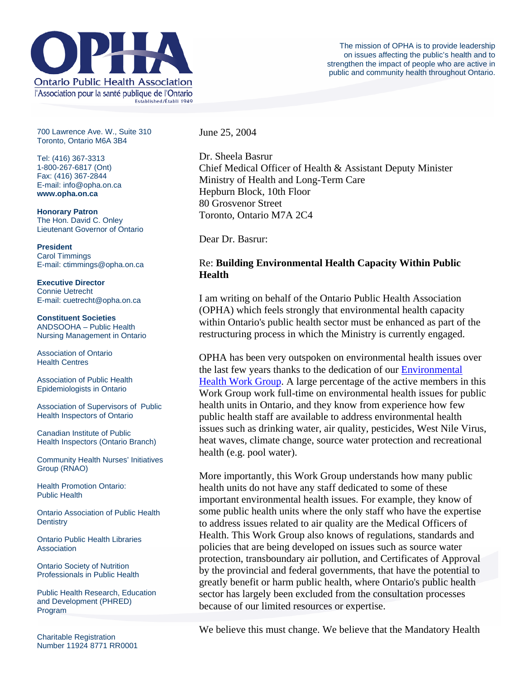

700 Lawrence Ave. W., Suite 310 Toronto, Ontario M6A 3B4

Tel: (416) 367-3313 1-800-267-6817 (Ont) Fax: (416) 367-2844 E-mail: info@opha.on.ca **www.opha.on.ca** 

**Honorary Patron**  The Hon. David C. Onley Lieutenant Governor of Ontario

**President**  Carol Timmings E-mail: ctimmings@opha.on.ca

**Executive Director**  Connie Uetrecht E-mail: cuetrecht@opha.on.ca

**Constituent Societies**  ANDSOOHA – Public Health Nursing Management in Ontario

Association of Ontario Health Centres

Association of Public Health Epidemiologists in Ontario

Association of Supervisors of Public Health Inspectors of Ontario

Canadian Institute of Public Health Inspectors (Ontario Branch)

Community Health Nurses' Initiatives Group (RNAO)

Health Promotion Ontario: Public Health

Ontario Association of Public Health **Dentistry** 

Ontario Public Health Libraries **Association** 

Ontario Society of Nutrition Professionals in Public Health

Public Health Research, Education and Development (PHRED) Program

June 25, 2004

Dr. Sheela Basrur Chief Medical Officer of Health & Assistant Deputy Minister Ministry of Health and Long-Term Care Hepburn Block, 10th Floor 80 Grosvenor Street Toronto, Ontario M7A 2C4

Dear Dr. Basrur:

## Re: **Building Environmental Health Capacity Within Public Health**

I am writing on behalf of the Ontario Public Health Association (OPHA) which feels strongly that environmental health capacity within Ontario's public health sector must be enhanced as part of the restructuring process in which the Ministry is currently engaged.

OPHA has been very outspoken on environmental health issues over the last few years thanks to the dedication of our [Environmental](http://76.74.186.129/advocacy/workgroups/environment.html)  [Health Work Group](http://76.74.186.129/advocacy/workgroups/environment.html). A large percentage of the active members in this Work Group work full-time on environmental health issues for public health units in Ontario, and they know from experience how few public health staff are available to address environmental health issues such as drinking water, air quality, pesticides, West Nile Virus, heat waves, climate change, source water protection and recreational health (e.g. pool water).

More importantly, this Work Group understands how many public health units do not have any staff dedicated to some of these important environmental health issues. For example, they know of some public health units where the only staff who have the expertise to address issues related to air quality are the Medical Officers of Health. This Work Group also knows of regulations, standards and policies that are being developed on issues such as source water protection, transboundary air pollution, and Certificates of Approval by the provincial and federal governments, that have the potential to greatly benefit or harm public health, where Ontario's public health sector has largely been excluded from the consultation processes because of our limited resources or expertise.

We believe this must change. We believe that the Mandatory Health